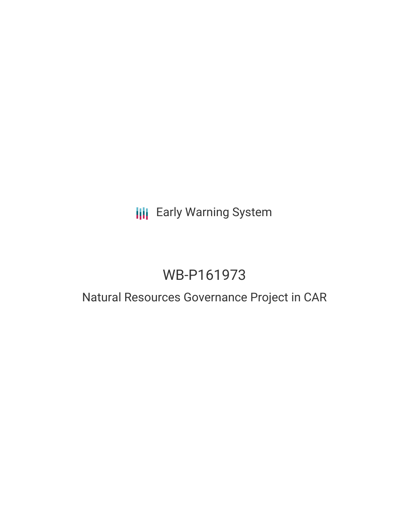# **III** Early Warning System

# WB-P161973

# Natural Resources Governance Project in CAR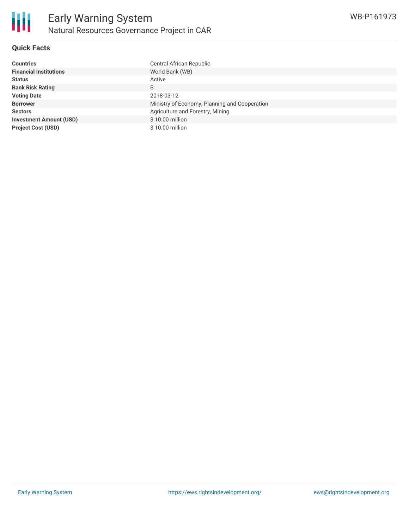

## **Quick Facts**

| <b>Countries</b>               | Central African Republic                      |
|--------------------------------|-----------------------------------------------|
| <b>Financial Institutions</b>  | World Bank (WB)                               |
| <b>Status</b>                  | Active                                        |
| <b>Bank Risk Rating</b>        | B                                             |
| <b>Voting Date</b>             | 2018-03-12                                    |
| <b>Borrower</b>                | Ministry of Economy, Planning and Cooperation |
| <b>Sectors</b>                 | Agriculture and Forestry, Mining              |
| <b>Investment Amount (USD)</b> | \$10.00 million                               |
| <b>Project Cost (USD)</b>      | $$10.00$ million                              |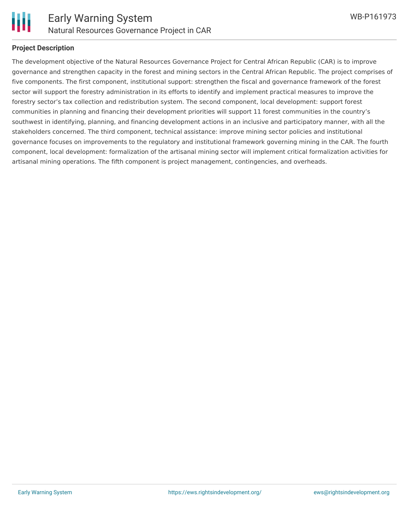

#### **Project Description**

The development objective of the Natural Resources Governance Project for Central African Republic (CAR) is to improve governance and strengthen capacity in the forest and mining sectors in the Central African Republic. The project comprises of five components. The first component, institutional support: strengthen the fiscal and governance framework of the forest sector will support the forestry administration in its efforts to identify and implement practical measures to improve the forestry sector's tax collection and redistribution system. The second component, local development: support forest communities in planning and financing their development priorities will support 11 forest communities in the country's southwest in identifying, planning, and financing development actions in an inclusive and participatory manner, with all the stakeholders concerned. The third component, technical assistance: improve mining sector policies and institutional governance focuses on improvements to the regulatory and institutional framework governing mining in the CAR. The fourth component, local development: formalization of the artisanal mining sector will implement critical formalization activities for artisanal mining operations. The fifth component is project management, contingencies, and overheads.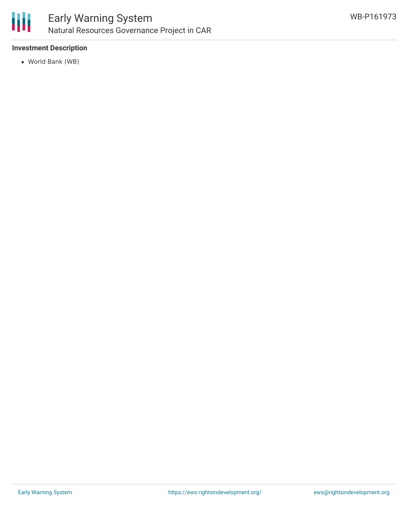

## **Investment Description**

World Bank (WB)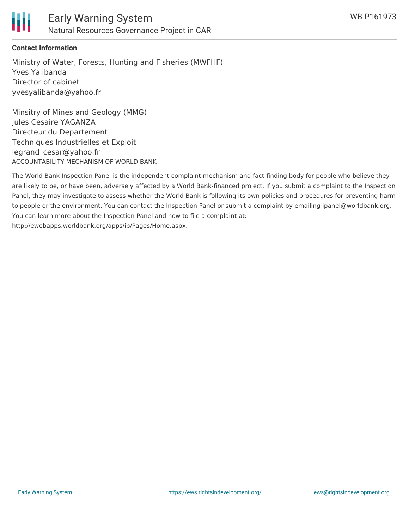

### **Contact Information**

Ministry of Water, Forests, Hunting and Fisheries (MWFHF) Yves Yalibanda Director of cabinet yvesyalibanda@yahoo.fr

Minsitry of Mines and Geology (MMG) Jules Cesaire YAGANZA Directeur du Departement Techniques Industrielles et Exploit legrand\_cesar@yahoo.fr ACCOUNTABILITY MECHANISM OF WORLD BANK

The World Bank Inspection Panel is the independent complaint mechanism and fact-finding body for people who believe they are likely to be, or have been, adversely affected by a World Bank-financed project. If you submit a complaint to the Inspection Panel, they may investigate to assess whether the World Bank is following its own policies and procedures for preventing harm to people or the environment. You can contact the Inspection Panel or submit a complaint by emailing ipanel@worldbank.org. You can learn more about the Inspection Panel and how to file a complaint at: http://ewebapps.worldbank.org/apps/ip/Pages/Home.aspx.